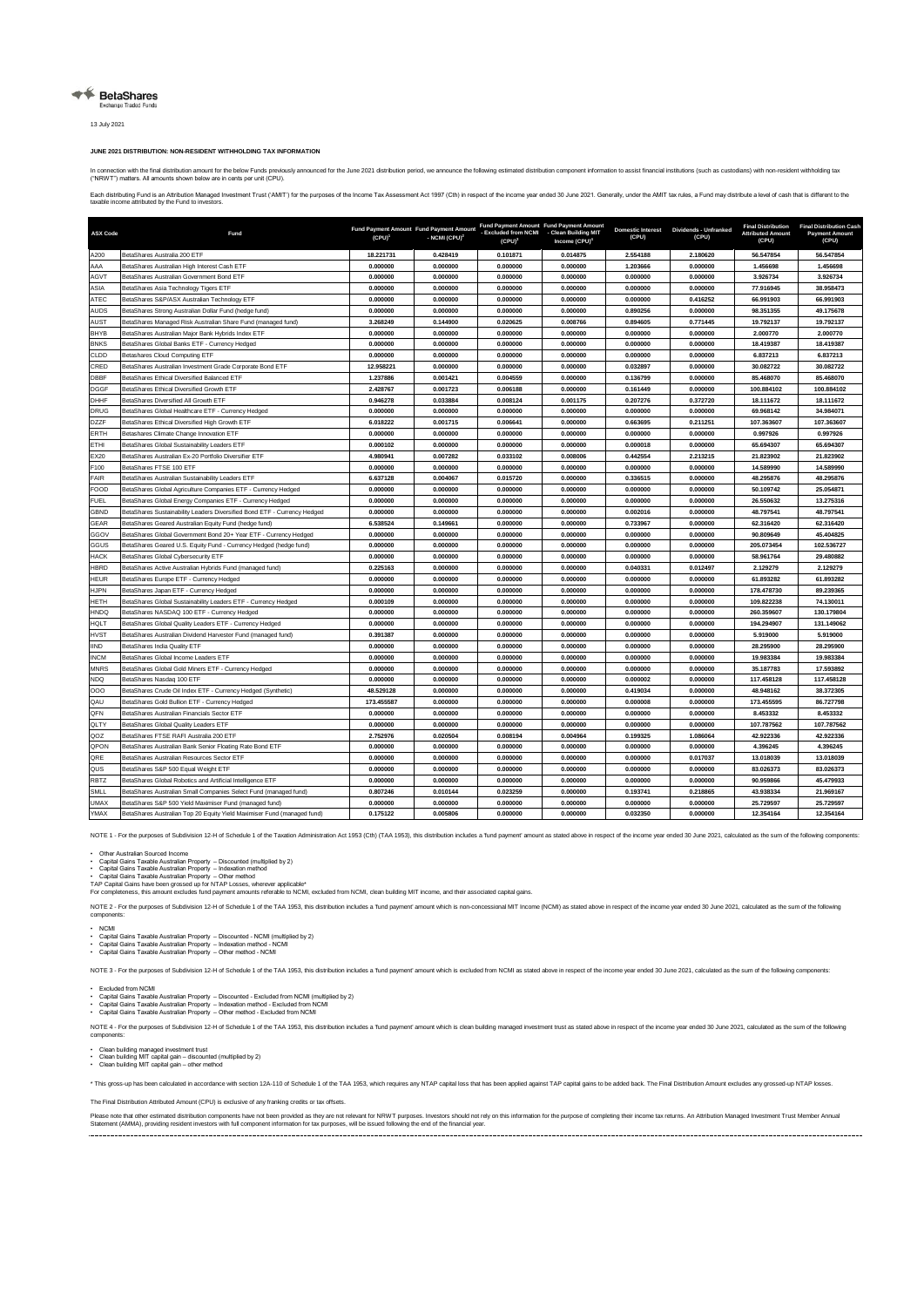## ← BetaShares

13 July 2021

## **JUNE 2021 DISTRIBUTION: NON-RESIDENT WITHHOLDING TAX INFORMATION**

In connection with the fide distribution amount for the below Funds previously announced for the June 2021 distribution period, we announce the following estimated distribution component information to assist financial ins

Each distibuting Fund is an Attibution Managed Investment Trust ("AMIT") for the purposes of the income Tax Assessment Act 1997 (Cth) in respect of the income year ended 30 June 2021. Generally, under the AMIT tax rules, a

| <b>ASX Code</b> | Fund                                                                     | Fund Payment Amount Fund Payment Amount<br>$(CPU)^{1}$ | - NCMI (CPU) <sup>2</sup> | Fund Payment Amount Fund Payment Amount<br>- Excluded from NCMI - Clean Building MIT<br>$(CPU)^3$ | Income (CPU) <sup>4</sup> | <b>Domestic Interest</b><br>(CPU) | Dividends - Unfranked<br>(CPU) | <b>Final Distribution</b><br><b>Attributed Amount</b><br>(CPU) | <b>Final Distribution Cash</b><br><b>Payment Amount</b><br>(CPU) |
|-----------------|--------------------------------------------------------------------------|--------------------------------------------------------|---------------------------|---------------------------------------------------------------------------------------------------|---------------------------|-----------------------------------|--------------------------------|----------------------------------------------------------------|------------------------------------------------------------------|
| A200            | BetaShares Australia 200 ETF                                             | 18.221731                                              | 0.428419                  | 0.101871                                                                                          | 0.014875                  | 2.554188                          | 2.180620                       | 56.547854                                                      | 56,547854                                                        |
| AAA             | BetaShares Australian High Interest Cash ETF                             | 0.000000                                               | 0.000000                  | 0.000000                                                                                          | 0.000000                  | 1.203666                          | 0.000000                       | 1.456698                                                       | 1.456698                                                         |
| AGVT            | BetaShares Australian Government Bond ETF                                | 0.000000                                               | 0.000000                  | 0.000000                                                                                          | 0.000000                  | 0.000000                          | 0.000000                       | 3.926734                                                       | 3.926734                                                         |
| ASIA            | BetaShares Asia Technology Tigers ETF                                    | 0.000000                                               | 0.000000                  | 0.000000                                                                                          | 0.000000                  | 0.000000                          | 0.000000                       | 77.916945                                                      | 38.958473                                                        |
| ATEC            | BetaShares S&P/ASX Australian Technology ETF                             | 0.000000                                               | 0.000000                  | 0.000000                                                                                          | 0.000000                  | 0.000000                          | 0.416252                       | 66.991903                                                      | 66.991903                                                        |
| <b>AUDS</b>     | BetaShares Strong Australian Dollar Fund (hedge fund)                    | 0.000000                                               | 0.000000                  | 0.000000                                                                                          | 0.000000                  | 0.890256                          | 0.000000                       | 98.351355                                                      | 49.175678                                                        |
| AUST            | BetaShares Managed Risk Australian Share Fund (managed fund)             | 3.268249                                               | 0.144900                  | 0.020625                                                                                          | 0.008766                  | 0.894605                          | 0.771445                       | 19.792137                                                      | 19.792137                                                        |
| <b>BHYB</b>     | BetaShares Australian Major Bank Hybrids Index ETF                       | 0.000000                                               | 0.000000                  | 0.000000                                                                                          | 0.000000                  | 0.000000                          | 0.000000                       | 2.000770                                                       | 2.000770                                                         |
| <b>BNKS</b>     | BetaShares Global Banks ETF - Currency Hedged                            | 0.000000                                               | 0.000000                  | 0.000000                                                                                          | 0.000000                  | 0.000000                          | 0.000000                       | 18.419387                                                      | 18.419387                                                        |
| CLDD            | Betashares Cloud Computing ETF                                           | 0.000000                                               | 0.000000                  | 0.000000                                                                                          | 0.000000                  | 0.000000                          | 0.000000                       | 6.837213                                                       | 6.837213                                                         |
| CRED            | BetaShares Australian Investment Grade Corporate Bond ETF                | 12.958221                                              | 0.000000                  | 0.000000                                                                                          | 0.000000                  | 0.032897                          | 0.000000                       | 30.082722                                                      | 30.082722                                                        |
| DBBF            | BetaShares Ethical Diversified Balanced ETF                              | 1.237886                                               | 0.001421                  | 0.004559                                                                                          | 0.000000                  | 0.136799                          | 0.000000                       | 85.468070                                                      | 85,468070                                                        |
| <b>DGGF</b>     | BetaShares Ethical Diversified Growth ETF                                | 2.428767                                               | 0.001723                  | 0.006188                                                                                          | 0.000000                  | 0.161449                          | 0.000000                       | 100.884102                                                     | 100.884102                                                       |
| DHHF            | <b>BetaShares Diversified All Growth FTF</b>                             | 0.946278                                               | 0.033884                  | 0.008124                                                                                          | 0.001175                  | 0.207276                          | 0.372720                       | 18.111672                                                      | 18.111672                                                        |
| <b>DRUG</b>     | BetaShares Global Healthcare ETF - Currency Hedged                       | 0.000000                                               | 0.000000                  | 0.000000                                                                                          | 0.000000                  | 0.000000                          | 0.000000                       | 69.968142                                                      | 34.984071                                                        |
| <b>DZZF</b>     | BetaShares Ethical Diversified High Growth ETF                           | 6.018222                                               | 0.001715                  | 0.006641                                                                                          | 0.000000                  | 0.663695                          | 0.211251                       | 107.363607                                                     | 107.363607                                                       |
| ERTH            | Betashares Climate Change Innovation ETF                                 | 0.000000                                               | 0.000000                  | 0.000000                                                                                          | 0.000000                  | 0.000000                          | 0.000000                       | 0.997926                                                       | 0.997926                                                         |
| ETHI            | BetaShares Global Sustainability Leaders ETF                             | 0.000102                                               | 0.000000                  | 0.000000                                                                                          | 0.000000                  | 0.000018                          | 0.000000                       | 65.694307                                                      | 65.694307                                                        |
| EX20            | BetaShares Australian Ex-20 Portfolio Diversifier ETF                    | 4.980941                                               | 0.007282                  | 0.033102                                                                                          | 0.008006                  | 0.442554                          | 2.213215                       | 21.823902                                                      | 21.823902                                                        |
| F100            | BetaShares FTSE 100 ETF                                                  | 0.000000                                               | 0.000000                  | 0.000000                                                                                          | 0.000000                  | 0.000000                          | 0.000000                       | 14.589990                                                      | 14.589990                                                        |
| <b>FAIR</b>     | BetaShares Australian Sustainability Leaders ETF                         | 6.637128                                               | 0.004067                  | 0.015720                                                                                          | 0.000000                  | 0.336515                          | 0.000000                       | 48.295876                                                      | 48.295876                                                        |
| FOOD            | BetaShares Global Agriculture Companies ETF - Currency Hedged            | 0.000000                                               | 0.000000                  | 0.000000                                                                                          | 0.000000                  | 0.000000                          | 0.000000                       | 50.109742                                                      | 25.054871                                                        |
| <b>FUEL</b>     | BetaShares Global Energy Companies ETF - Currency Hedged                 | 0.000000                                               | 0.000000                  | 0.000000                                                                                          | 0.000000                  | 0.000000                          | 0.000000                       | 26,550632                                                      | 13,275316                                                        |
| GBND            | BetaShares Sustainability Leaders Diversified Bond ETF - Currency Hedged | 0.000000                                               | 0.000000                  | 0.000000                                                                                          | 0.000000                  | 0.002016                          | 0.000000                       | 48.797541                                                      | 48.797541                                                        |
| GEAR            | BetaShares Geared Australian Equity Fund (hedge fund)                    | 6.538524                                               | 0.149661                  | 0.000000                                                                                          | 0.000000                  | 0.733967                          | 0.000000                       | 62.316420                                                      | 62.316420                                                        |
| GGOV            | BetaShares Global Government Bond 20+ Year ETF - Currency Hedged         | 0.000000                                               | 0.000000                  | 0.000000                                                                                          | 0.000000                  | 0.000000                          | 0.000000                       | 90.809649                                                      | 45.404825                                                        |
| GGUS            | BetaShares Geared U.S. Equity Fund - Currency Hedged (hedge fund)        | 0.000000                                               | 0.000000                  | 0.000000                                                                                          | 0.000000                  | 0.000000                          | 0.000000                       | 205.073454                                                     | 102.536727                                                       |
| <b>HACK</b>     | BetaShares Global Cybersecurity ETF                                      | 0.000000                                               | 0.000000                  | 0.000000                                                                                          | 0.000000                  | 0.000000                          | 0.000000                       | 58.961764                                                      | 29.480882                                                        |
| <b>HBRD</b>     | BetaShares Active Australian Hybrids Fund (managed fund)                 | 0.225163                                               | 0.000000                  | 0.000000                                                                                          | 0.000000                  | 0.040331                          | 0.012497                       | 2.129279                                                       | 2.129279                                                         |
| HEUR            | BetaShares Europe ETF - Currency Hedged                                  | 0.000000                                               | 0.000000                  | 0.000000                                                                                          | 0.000000                  | 0.000000                          | 0.000000                       | 61.893282                                                      | 61.893282                                                        |
| <b>HJPN</b>     | BetaShares Japan ETF - Currency Hedged                                   | 0.000000                                               | 0.000000                  | 0.000000                                                                                          | 0.000000                  | 0.000000                          | 0.000000                       | 178.478730                                                     | 89.239365                                                        |
| HETH            | BetaShares Global Sustainability Leaders ETF - Currency Hedged           | 0.000109                                               | 0.000000                  | 0.000000                                                                                          | 0.000000                  | 0.000000                          | 0.000000                       | 109.822238                                                     | 74.130011                                                        |
| <b>HNDQ</b>     | BetaShares NASDAQ 100 ETF - Currency Hedged                              | 0.000000                                               | 0.000000                  | 0.000000                                                                                          | 0.000000                  | 0.000000                          | 0.000000                       | 260.359607                                                     | 130.179804                                                       |
| HQLT            | BetaShares Global Quality Leaders ETF - Currency Hedged                  | 0.000000                                               | 0.000000                  | 0.000000                                                                                          | 0.000000                  | 0.000000                          | 0.000000                       | 194.294907                                                     | 131.149062                                                       |
| <b>HVST</b>     | BetaShares Australian Dividend Harvester Fund (managed fund)             | 0.391387                                               | 0.000000                  | 0.000000                                                                                          | 0.000000                  | 0.000000                          | 0.000000                       | 5.919000                                                       | 5.919000                                                         |
| <b>IIND</b>     | BetaShares India Quality ETF                                             | 0.000000                                               | 0.000000                  | 0.000000                                                                                          | 0.000000                  | 0.000000                          | 0.000000                       | 28.295900                                                      | 28.295900                                                        |
| <b>INCM</b>     | BetaShares Global Income Leaders ETF                                     | 0.000000                                               | 0.000000                  | 0.000000                                                                                          | 0.000000                  | 0.000000                          | 0.000000                       | 19.983384                                                      | 19,983384                                                        |
| <b>MNRS</b>     | BetaShares Global Gold Miners ETF - Currency Hedged                      | 0.000000                                               | 0.000000                  | 0.000000                                                                                          | 0.000000                  | 0.000000                          | 0.000000                       | 35.187783                                                      | 17.593892                                                        |
| <b>NDQ</b>      | BetaShares Nasdaq 100 ETF                                                | 0.000000                                               | 0.000000                  | 0.000000                                                                                          | 0.000000                  | 0.000002                          | 0.000000                       | 117.458128                                                     | 117.458128                                                       |
| 000             | BetaShares Crude Oil Index ETF - Currency Hedged (Synthetic)             | 48.529128                                              | 0.000000                  | 0.000000                                                                                          | 0.000000                  | 0.419034                          | 0.000000                       | 48.948162                                                      | 38.372305                                                        |
| QAU             | BetaShares Gold Bullion ETF - Currency Hedged                            | 173,455587                                             | 0.000000                  | 0.000000                                                                                          | 0.000000                  | 0.000008                          | 0.000000                       | 173.455595                                                     | 86,727798                                                        |
| QFN             | BetaShares Australian Financials Sector ETF                              | 0.000000                                               | 0.000000                  | 0.000000                                                                                          | 0.000000                  | 0.000000                          | 0.000000                       | 8.453332                                                       | 8.453332                                                         |
| QLTY            | BetaShares Global Quality Leaders ETF                                    | 0.000000                                               | 0.000000                  | 0.000000                                                                                          | 0.000000                  | 0.000000                          | 0.000000                       | 107.787562                                                     | 107.787562                                                       |
| QOZ             | BetaShares FTSE RAFI Australia 200 ETF                                   | 2.752976                                               | 0.020504                  | 0.008194                                                                                          | 0.004964                  | 0.199325                          | 1.086064                       | 42.922336                                                      | 42.922336                                                        |
| QPON            | BetaShares Australian Bank Senior Floating Rate Bond ETF                 | 0.000000                                               | 0.000000                  | 0.000000                                                                                          | 0.000000                  | 0.000000                          | 0.000000                       | 4.396245                                                       | 4.396245                                                         |
| QRE             | BetaShares Australian Resources Sector ETF                               | 0.000000                                               | 0.000000                  | 0.000000                                                                                          | 0.000000                  | 0.000000                          | 0.017037                       | 13.018039                                                      | 13.018039                                                        |
| QUS             | BetaShares S&P 500 Equal Weight ETF                                      | 0.000000                                               | 0.000000                  | 0.000000                                                                                          | 0.000000                  | 0.000000                          | 0.000000                       | 83.026373                                                      | 83.026373                                                        |
| <b>RBTZ</b>     | BetaShares Global Robotics and Artificial Intelligence ETF               | 0.000000                                               | 0.000000                  | 0.000000                                                                                          | 0.000000                  | 0.000000                          | 0.000000                       | 90.959866                                                      | 45.479933                                                        |
| SMLL            | BetaShares Australian Small Companies Select Fund (managed fund)         | 0.807246                                               | 0.010144                  | 0.023259                                                                                          | 0.000000                  | 0.193741                          | 0.218865                       | 43.938334                                                      | 21.969167                                                        |
| UMAX            | BetaShares S&P 500 Yield Maximiser Fund (managed fund)                   | 0.000000                                               | 0.000000                  | 0.000000                                                                                          | 0.000000                  | 0.000000                          | 0.000000                       | 25.729597                                                      | 25.729597                                                        |
| YMAX            | BetaShares Australian Top 20 Equity Yield Maximiser Fund (managed fund)  | 0.175122                                               | 0.005806                  | 0.000000                                                                                          | 0.000000                  | 0.032350                          | 0.000000                       | 12.354164                                                      | 12.354164                                                        |

NOTE 1 - For the purposes of Subdivision 12-H of Schedule 1 of the Taxation Administration Act 1953 (Cth) (TAA 1953), this distribution includes a 'lund payment' amount as stated above in respect of the income year ended 3

• Other Australian Sourced Income<br>• Capital Gains Taxable Australian Property – Discounted (multiplied by 2)<br>• Capital Gains Taxable Australian Property – Indexation method<br>• Capital Gains Taxable Australian Property – Ot

NOTE 2 - For the purposes of Subdivision 12-H of Schedule 1 of the TAA 1953, this distribution includes a fund payment' amount which is non-concessional MIT Income (NCMI) as stated above in respect of the income year ended components:

• NCMI<br>• Capital Gains Taxable Australian Property – Discounted - NCMI (multiplied by 2)<br>• Capital Gains Taxable Australian Property – Indexation method - NCMI<br>• Capital Gains Taxable Australian Property – Other method - N

NOTE 3 - For the purposes of Subdivision 12-H of Schedule 1 of the TAA 1953, this distribution includes a 'lund payment' amount which is excluded from NCMI as stated above in respect of the income year ended 30 June 2021,

• Excluded from NCMI<br>• Capital Gains Taxable Australian Property – Discounted - Excluded from NCMI (multiplied by 2)<br>• Capital Gains Taxable Australian Property – Indexation method - Excluded from NCMI<br>• Capital Gains Ta

NOTE 4 - For the purposes of Subdivision 12-H of Schedule 1 of the TAA 1953, this distribution includes a "und payment' amount which is clean building managed investment trust as stated above in respect of the income year

• Clean building managed investment trust • Clean building MIT capital gain – discounted (multiplied by 2) • Clean building MIT capital gain – other method

\* This gross-up has been calculated in accordance with section 12A-110 of Schedule 1 of the TAA 1953, which requires any NTAP capital loss that has been apolied against TAP capital gains to be added back. The Final Distrib

The Final Distribution Attributed Amount (CPU) is exclusive of any franking credits or tax offsets.

Pleas note that mestimated distribution components have not been provided as they are not relevant for NRWT purcess. Investors should not rely on this information for the purposes formpleing their incomplements. An Attribu